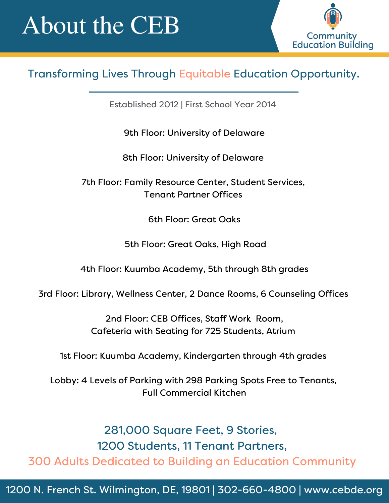## About the CEB



#### Transforming Lives Through Equitable Education Opportunity.

Established 2012 | First School Year 2014

9th Floor: University of Delaware

8th Floor: University of Delaware

7th Floor: Family Resource Center, Student Services, Tenant Partner Offices

6th Floor: Great Oaks

5th Floor: Great Oaks, High Road

4th Floor: Kuumba Academy, 5th through 8th grades

3rd Floor: Library, Wellness Center, 2 Dance Rooms, 6 Counseling Offices

2nd Floor: CEB Offices, Staff Work Room, Cafeteria with Seating for 725 Students, Atrium

1st Floor: Kuumba Academy, Kindergarten through 4th grades

Lobby: 4 Levels of Parking with 298 Parking Spots Free to Tenants, Full Commercial Kitchen

281,000 Square Feet, 9 Stories, 1200 Students, 11 Tenant Partners, 300 Adults Dedicated to Building an Education Community

1200 N. French St. Wilmington, DE, 19801 | 302-660-4800 | www.cebde.org